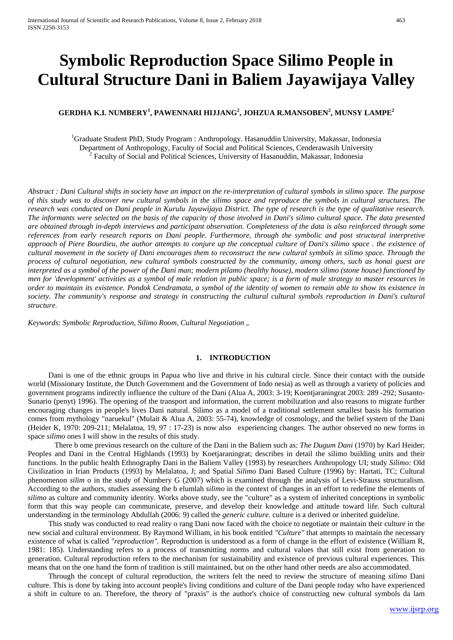# **Symbolic Reproduction Space Silimo People in Cultural Structure Dani in Baliem Jayawijaya Valley**

# **GERDHA K.I. NUMBERY<sup>1</sup> , PAWENNARI HIJJANG<sup>2</sup> , JOHZUA R.MANSOBEN<sup>2</sup> , MUNSY LAMPE2**

<sup>1</sup>Graduate Student PhD, Study Program : Anthropology. Hasanuddin University, Makassar, Indonesia Department of Anthropology, Faculty of Social and Political Sciences, Cenderawasih University <sup>2</sup> Faculty of Social and Political Sciences, University of Hasanuddin, Makassar, Indonesia

*Abstract : Dani Cultural shifts in society have an impact on the re-interpretation of cultural symbols in silimo space. The purpose of this study was to discover new cultural symbols in the silimo space and reproduce the symbols in cultural structures. The research was conducted on Dani people in Kurulu Jayawijaya District. The type of research is the type of qualitative research. The informants were selected on the basis of the capacity of those involved in Dani's silimo cultural space. The data presented are obtained through in-depth interviews and participant observation. Completeness of the data is also reinforced through some references from early research reports on Dani people. Furthermore, through the symbolic and post structural interpretive approach of Piere Bourdieu, the author attempts to conjure up the conceptual culture of Dani's silimo space . the existence of cultural movement in the society of Dani encourages them to reconstruct the new cultural symbols in silimo space. Through the process of cultural negotiation, new cultural symbols constructed by the community, among others, such as honai guest are interpreted as a symbol of the power of the Dani man; modern pilamo (healthy house), modern silimo (stone house) functioned by men for 'development' activities as a symbol of male relation in public space; is a form of male strategy to master resources in order to maintain its existence. Pondok Cendramata, a symbol of the identity of women to remain able to show its existence in society. The community's response and strategy in constructing the cultural cultural symbols reproduction in Dani's cultural structure.*

*Keywords: Symbolic Reproduction, Silimo Room, Cultural Negotiation ,.*

## **1. INTRODUCTION**

Dani is one of the ethnic groups in Papua who live and thrive in his cultural circle. Since their contact with the outside world (Missionary Institute, the Dutch Government and the Government of Indo nesia) as well as through a variety of policies and government programs indirectly influence the culture of the Dani (Alua A, 2003: 3-19; Koentjaraningrat 2003: 289 -292; Susanto-Sunario (penyt) 1996). The opening of the transport and information, the current mobilization and also reasons to migrate further encouraging changes in people's lives Dani natural. Silimo as a model of a traditional settlement smallest basis his formation comes from mythology "naruekul" (Mulait & Alua A, 2003: 55-74), knowledge of cosmology, and the belief system of the Dani (Heider K, 1970: 209-211; Melalatoa, 19, 97 : 17-23) is now also experiencing changes. The author observed no new forms in space *silimo* ones I will show in the results of this study.

 There b ome previous research on the culture of the Dani in the Baliem such as: *The Dugum Dani* (1970) by Karl Heider; Peoples and Dani in the Central Highlands (1993) by Koetjaraningrat; describes in detail the silimo building units and their functions. In the public health Ethnography Dani in the Baliem Valley (1993) by researchers Anthropology UI; study *Silimo:* Old Civilization in Irian Products (1993) by Melalatoa, J; and Spatial *Silimo* Dani Based Culture (1996) by: Hartati, TC; Cultural phenomenon *silim* o in the study of Numbery G (2007) which is examined through the analysis of Levi-Strauss structuralism. According to the authors, studies assessing the b elumlah *silimo* in the context of changes in an effort to redefine the elements of *silimo* as culture and community identity. Works above study, see the "culture" as a system of inherited conceptions in symbolic form that this way people can communicate, preserve, and develop their knowledge and attitude toward life. Such cultural understanding in the terminology Abdullah (2006: 9) called the *generic culture.* culture is a derived or inherited guideline.

This study was conducted to read reality o rang Dani now faced with the choice to negotiate or maintain their culture in the new social and cultural environment. By Raymond William, in his book entitled *"Culture"* that attempts to maintain the necessary existence of what is called *"reproduction".* Reproduction is understood as a form of change in the effort of existence (William R, 1981: 185). Understanding refers to a process of transmitting norms and cultural values that still exist from generation to generation. Cultural reproduction refers to the mechanism for sustainability and existence of previous cultural experiences. This means that on the one hand the form of tradition is still maintained, but on the other hand other needs are also accommodated.

Through the concept of cultural reproduction, the writers felt the need to review the structure of meaning *silimo* Dani culture. This is done by taking into account people's living conditions and culture of the Dani people today who have experienced a shift in culture to an. Therefore, the theory of "praxis" is the author's choice of constructing new cultural symbols da lam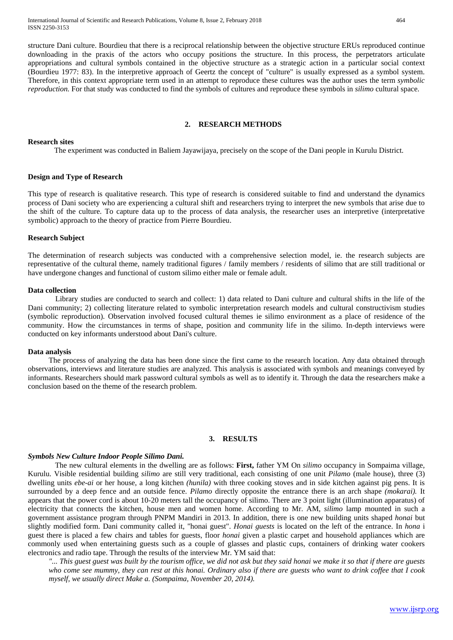International Journal of Scientific and Research Publications, Volume 8, Issue 2, February 2018 464 ISSN 2250-3153

structure Dani culture. Bourdieu that there is a reciprocal relationship between the objective structure ERUs reproduced continue downloading in the praxis of the actors who occupy positions the structure. In this process, the perpetrators articulate appropriations and cultural symbols contained in the objective structure as a strategic action in a particular social context (Bourdieu 1977: 83). In the interpretive approach of Geertz the concept of "culture" is usually expressed as a symbol system. Therefore, in this context appropriate term used in an attempt to reproduce these cultures was the author uses the term *symbolic reproduction.* For that study was conducted to find the symbols of cultures and reproduce these symbols in *silimo* cultural space.

# **2. RESEARCH METHODS**

#### **Research sites**

The experiment was conducted in Baliem Jayawijaya, precisely on the scope of the Dani people in Kurulu District.

#### **Design and Type of Research**

This type of research is qualitative research. This type of research is considered suitable to find and understand the dynamics process of Dani society who are experiencing a cultural shift and researchers trying to interpret the new symbols that arise due to the shift of the culture. To capture data up to the process of data analysis, the researcher uses an interpretive (interpretative symbolic) approach to the theory of practice from Pierre Bourdieu.

## **Research Subject**

The determination of research subjects was conducted with a comprehensive selection model, ie. the research subjects are representative of the cultural theme, namely traditional figures / family members / residents of silimo that are still traditional or have undergone changes and functional of custom silimo either male or female adult.

#### **Data collection**

Library studies are conducted to search and collect: 1) data related to Dani culture and cultural shifts in the life of the Dani community; 2) collecting literature related to symbolic interpretation research models and cultural constructivism studies (symbolic reproduction). Observation involved focused cultural themes ie silimo environment as a place of residence of the community. How the circumstances in terms of shape, position and community life in the silimo. In-depth interviews were conducted on key informants understood about Dani's culture.

#### **Data analysis**

The process of analyzing the data has been done since the first came to the research location. Any data obtained through observations, interviews and literature studies are analyzed. This analysis is associated with symbols and meanings conveyed by informants. Researchers should mark password cultural symbols as well as to identify it. Through the data the researchers make a conclusion based on the theme of the research problem.

#### **3. RESULTS**

## *Symbols New Culture Indoor People Silimo Dani.*

The new cultural elements in the dwelling are as follows: **First,** father YM On *silimo* occupancy in Sompaima village, Kurulu. Visible residential building *silimo* are still very traditional, each consisting of one unit *Pilamo* (male house), three (3) dwelling units *ebe-ai* or her house, a long kitchen *(hunila)* with three cooking stoves and in side kitchen against pig pens. It is surrounded by a deep fence and an outside fence. *Pilamo* directly opposite the entrance there is an arch shape *(mokarai).* It appears that the power cord is about 10-20 meters tall the occupancy of silimo. There are 3 point light (illumination apparatus) of electricity that connects the kitchen, house men and women home. According to Mr. AM, *silimo* lamp mounted in such a government assistance program through PNPM Mandiri in 2013. In addition, there is one new building units shaped *honai* but slightly modified form. Dani community called it, "honai guest". *Honai guests* is located on the left of the entrance. In *hona* i guest there is placed a few chairs and tables for guests, floor *honai* given a plastic carpet and household appliances which are commonly used when entertaining guests such as a couple of glasses and plastic cups, containers of drinking water cookers electronics and radio tape. Through the results of the interview Mr. YM said that:

*"... This guest guest was built by the tourism office, we did not ask but they said honai we make it so that if there are guests who come see mummy, they can rest at this honai. Ordinary also if there are guests who want to drink coffee that I cook myself, we usually direct Make a. (Sompaima, November 20, 2014).*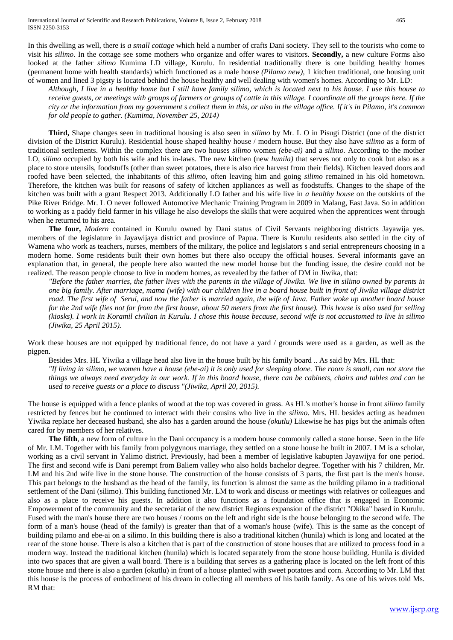International Journal of Scientific and Research Publications, Volume 8, Issue 2, February 2018 465 ISSN 2250-3153

In this dwelling as well, there is *a small cottage* which held a number of crafts Dani society. They sell to the tourists who come to visit his *silimo.* In the cottage see some mothers who organize and offer wares to visitors. **Secondly,** a new culture Forms also looked at the father *silimo* Kumima LD village, Kurulu. In residential traditionally there is one building healthy homes (permanent home with health standards) which functioned as a male house *(Pilamo new),* 1 kitchen traditional, one housing unit of women and lined 3 pigsty is located behind the house healthy and well dealing with women's homes. According to Mr. LD:

*Although, I live in a healthy home but I still have family silimo, which is located next to his house. I use this house to receive guests, or meetings with groups of farmers or groups of cattle in this village. I coordinate all the groups here. If the city or the information from my government s collect them in this, or also in the village office. If it's in Pilamo, it's common for old people to gather. (Kumima, November 25, 2014)*

**Third,** Shape changes seen in traditional housing is also seen in *silimo* by Mr. L O in Pisugi District (one of the district division of the District Kurulu). Residential house shaped healthy house / modern house. But they also have *silimo* as a form of traditional settlements. Within the complex there are two houses *silimo* women *(ebe-ai)* and a *silimo.* According to the mother LO, *silimo* occupied by both his wife and his in-laws. The new kitchen (new *hunila)* that serves not only to cook but also as a place to store utensils, foodstuffs (other than sweet potatoes, there is also rice harvest from their fields). Kitchen leaved doors and roofed have been selected, the inhabitants of this *silimo,* often leaving him and going *silimo* remained in his old hometown. Therefore, the kitchen was built for reasons of safety of kitchen appliances as well as foodstuffs. Changes to the shape of the kitchen was built with a grant Respect 2013. Additionally LO father and his wife live in *a healthy house* on the outskirts of the Pike River Bridge. Mr. L O never followed Automotive Mechanic Training Program in 2009 in Malang, East Java. So in addition to working as a paddy field farmer in his village he also develops the skills that were acquired when the apprentices went through when he returned to his area.

**The four,** *Modern* contained in Kurulu owned by Dani status of Civil Servants neighboring districts Jayawija yes. members of the legislature in Jayawijaya district and province of Papua. There is Kurulu residents also settled in the city of Wamena who work as teachers, nurses, members of the military, the police and legislators s and serial entrepreneurs choosing in a modern home. Some residents built their own homes but there also occupy the official houses. Several informants gave an explanation that, in general, the people here also wanted the new model house but the funding issue, the desire could not be realized. The reason people choose to live in modern homes, as revealed by the father of DM in Jiwika, that:

*"Before the father marries, the father lives with the parents in the village of Jiwika. We live in silimo owned by parents in one big family. After marriage, mama (wife) with our children live in a board house built in front of Jiwika village district road. The first wife of Serui, and now the father is married again, the wife of Java. Father woke up another board house for the 2nd wife (lies not far from the first house, about 50 meters from the first house). This house is also used for selling (kiosks). I work in Koramil civilian in Kurulu. I chose this house because, second wife is not accustomed to live in silimo (Jiwika, 25 April 2015).*

Work these houses are not equipped by traditional fence, do not have a yard / grounds were used as a garden, as well as the pigpen.

Besides Mrs. HL Yiwika a village head also live in the house built by his family board .. As said by Mrs. HL that: *"If living in silimo, we women have a house (ebe-ai) it is only used for sleeping alone. The room is small, can not store the things we always need everyday in our work. If in this board house, there can be cabinets, chairs and tables and can be used to receive guests or a place to discuss "(Jiwika, April 20, 2015).*

The house is equipped with a fence planks of wood at the top was covered in grass. As HL's mother's house in front *silimo* family restricted by fences but he continued to interact with their cousins who live in the *silimo.* Mrs. HL besides acting as headmen Yiwika replace her deceased husband, she also has a garden around the house *(okutlu)* Likewise he has pigs but the animals often cared for by members of her relatives.

**The fifth**, a new form of culture in the Dani occupancy is a modern house commonly called a stone house. Seen in the life of Mr. LM. Together with his family from polygynous marriage, they settled on a stone house he built in 2007. LM is a scholar, working as a civil servant in Yalimo district. Previously, had been a member of legislative kabupten Jayawijya for one period. The first and second wife is Dani perempt from Baliem valley who also holds bachelor degree. Together with his 7 children, Mr. LM and his 2nd wife live in the stone house. The construction of the house consists of 3 parts, the first part is the men's house. This part belongs to the husband as the head of the family, its function is almost the same as the building pilamo in a traditional settlement of the Dani (silimo). This building functioned Mr. LM to work and discuss or meetings with relatives or colleagues and also as a place to receive his guests. In addition it also functions as a foundation office that is engaged in Economic Empowerment of the community and the secretariat of the new district Regions expansion of the district "Okika" based in Kurulu. Fused with the man's house there are two houses / rooms on the left and right side is the house belonging to the second wife. The form of a man's house (head of the family) is greater than that of a woman's house (wife). This is the same as the concept of building pilamo and ebe-ai on a silimo. In this building there is also a traditional kitchen (hunila) which is long and located at the rear of the stone house. There is also a kitchen that is part of the construction of stone houses that are utilized to process food in a modern way. Instead the traditional kitchen (hunila) which is located separately from the stone house building. Hunila is divided into two spaces that are given a wall board. There is a building that serves as a gathering place is located on the left front of this stone house and there is also a garden (okutlu) in front of a house planted with sweet potatoes and corn. According to Mr. LM that this house is the process of embodiment of his dream in collecting all members of his batih family. As one of his wives told Ms. RM that: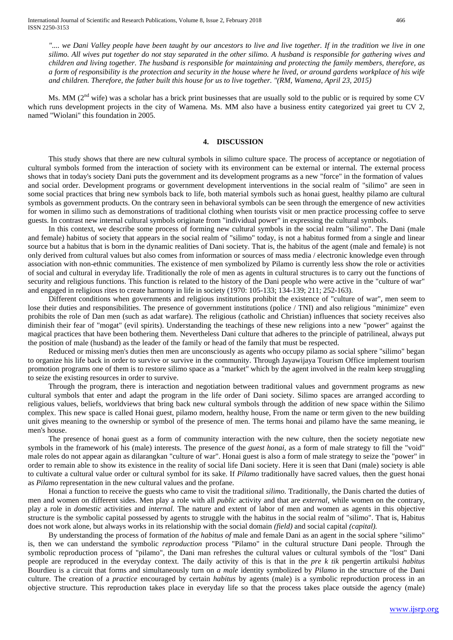*".... we Dani Valley people have been taught by our ancestors to live and live together. If in the tradition we live in one silimo. All wives put together do not stay separated in the other silimo. A husband is responsible for gathering wives and children and living together. The husband is responsible for maintaining and protecting the family members, therefore, as a form of responsibility is the protection and security in the house where he lived, or around gardens workplace of his wife and children. Therefore, the father built this house for us to live together. "(RM, Wamena, April 23, 2015)*

Ms. MM ( $2<sup>nd</sup>$  wife) was a scholar has a brick print businesses that are usually sold to the public or is required by some CV which runs development projects in the city of Wamena. Ms. MM also have a business entity categorized vai greet tu CV 2. named "Wiolani" this foundation in 2005.

## **4. DISCUSSION**

This study shows that there are new cultural symbols in silimo culture space. The process of acceptance or negotiation of cultural symbols formed from the interaction of society with its environment can be external or internal. The external process shows that in today's society Dani puts the government and its development programs as a new "force" in the formation of values and social order. Development programs or government development interventions in the social realm of "silimo" are seen in some social practices that bring new symbols back to life, both material symbols such as honai guest, healthy pilamo are cultural symbols as government products. On the contrary seen in behavioral symbols can be seen through the emergence of new activities for women in silimo such as demonstrations of traditional clothing when tourists visit or men practice processing coffee to serve guests. In contrast new internal cultural symbols originate from "individual power" in expressing the cultural symbols.

In this context, we describe some process of forming new cultural symbols in the social realm "silimo". The Dani (male and female) habitus of society that appears in the social realm of "silimo" today, is not a habitus formed from a single and linear source but a habitus that is born in the dynamic realities of Dani society. That is, the habitus of the agent (male and female) is not only derived from cultural values but also comes from information or sources of mass media / electronic knowledge even through association with non-ethnic communities. The existence of men symbolized by Pilamo is currently less show the role or activities of social and cultural in everyday life. Traditionally the role of men as agents in cultural structures is to carry out the functions of security and religious functions. This function is related to the history of the Dani people who were active in the "culture of war" and engaged in religious rites to create harmony in life in society (1970: 105-133; 134-139; 211; 252-163).

Different conditions when governments and religious institutions prohibit the existence of "culture of war", men seem to lose their duties and responsibilities. The presence of government institutions (police / TNI) and also religious "minimize" even prohibits the role of Dan men (such as adat warfare). The religious (catholic and Christian) influences that society receives also diminish their fear of "mogat" (evil spirits). Understanding the teachings of these new religions into a new "power" against the magical practices that have been bothering them. Nevertheless Dani culture that adheres to the principle of patrilineal, always put the position of male (husband) as the leader of the family or head of the family that must be respected.

Reduced or missing men's duties then men are unconsciously as agents who occupy pilamo as social sphere "silimo" began to organize his life back in order to survive or survive in the community. Through Jayawijaya Tourism Office implement tourism promotion programs one of them is to restore silimo space as a "market" which by the agent involved in the realm keep struggling to seize the existing resources in order to survive.

Through the program, there is interaction and negotiation between traditional values and government programs as new cultural symbols that enter and adapt the program in the life order of Dani society. Silimo spaces are arranged according to religious values, beliefs, worldviews that bring back new cultural symbols through the addition of new space within the Silimo complex. This new space is called Honai guest, pilamo modern, healthy house, From the name or term given to the new building unit gives meaning to the ownership or symbol of the presence of men. The terms honai and pilamo have the same meaning, ie men's house.

The presence of honai guest as a form of community interaction with the new culture, then the society negotiate new symbols in the framework of his (male) interests. The presence of the *guest honai,* as a form of male strategy to fill the "void" male roles do not appear again as dilarangkan "culture of war". Honai guest is also a form of male strategy to seize the "power" in order to remain able to show its existence in the reality of social life Dani society. Here it is seen that Dani (male) society is able to cultivate a cultural value order or cultural symbol for its sake. If *Pilamo* traditionally have sacred values, then the guest honai as *Pilamo* representation in the new cultural values and the profane.

Honai a function to receive the guests who came to visit the traditional *silimo.* Traditionally, the Danis charted the duties of men and women on different sides. Men play a role with all *public* activity and that are *external,* while women on the contrary, play a role in *domestic* activities and *internal.* The nature and extent of labor of men and women as agents in this objective structure is the symbolic capital possessed by agents to struggle with the habitus in the social realm of "silimo". That is, Habitus does not work alone, but always works in its relationship with the social domain *(field)* and social capital *(capital).*

By understanding the process of formation of *the habitus of* male and female Dani as an agent in the social sphere "silimo" is, then we can understand the symbolic *reproduction* process "Pilamo" in the cultural structure Dani people. Through the symbolic reproduction process of "pilamo", the Dani man refreshes the cultural values or cultural symbols of the "lost" Dani people are reproduced in the everyday context. The daily activity of this is that in the *pre k tik* pengertin artikulsi *habitus* Bourdieu is a circuit that forms and simultaneously turn on *a male* identity symbolized by *Pilamo* in the structure of the Dani culture. The creation of a *practice* encouraged by certain *habitus* by agents (male) is a symbolic reproduction process in an objective structure. This reproduction takes place in everyday life so that the process takes place outside the agency (male)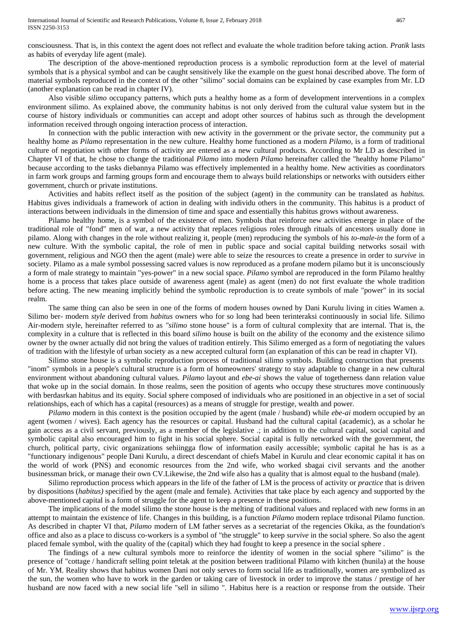consciousness. That is, in this context the agent does not reflect and evaluate the whole tradition before taking action. *Pratik* lasts as habits of everyday life agent (male).

The description of the above-mentioned reproduction process is a symbolic reproduction form at the level of material symbols that is a physical symbol and can be caught sensitively like the example on the guest honai described above. The form of material symbols reproduced in the context of the other "silimo" social domains can be explained by case examples from Mr. LD (another explanation can be read in chapter IV).

Also visible *silimo* occupancy patterns, which puts a healthy home as a form of development interventions in a complex environment silimo. As explained above, the community habitus is not only derived from the cultural value system but in the course of history individuals or communities can accept and adopt other sources of habitus such as through the development information received through ongoing interaction process of interaction.

In connection with the public interaction with new activity in the government or the private sector, the community put a healthy home as *Pilamo* representation in the new culture. Healthy home functioned as a modern *Pilamo,* is a form of traditional culture of negotiation with other forms of activity are entered as a new cultural products. According to Mr LD as described in Chapter VI of that, he chose to change the traditional *Pilamo* into modern *Pilamo* hereinafter called the "healthy home Pilamo" because according to the tasks diebannya Pilamo was effectively implemented in a healthy home. New activities as coordinators in farm work groups and farming groups form and encourage them to always build relationships or networks with outsiders either government, church or private institutions.

Activities and habits reflect itself as the position of the subject (agent) in the community can be translated as *habitus.* Habitus gives individuals a framework of action in dealing with individu others in the community. This habitus is a product of interactions between individuals in the dimension of time and space and essentially this habitus grows without awareness.

Pilamo healthy home, is a symbol of the existence of men. Symbols that reinforce new activities emerge in place of the traditional role of "fond" men of war, a new activity that replaces religious roles through rituals of ancestors usually done in pilamo. Along with changes in the role without realizing it, people (men) reproducing the symbols of his *to-male-in* the form of a new culture. With the symbolic capital, the role of men in public space and social capital building networks sosail with government, religious and NGO then the agent (male) were able to seize the resources to create a presence in order to *survive* in society. Pilamo as a male symbol possessing sacred values is now reproduced as a profane modern pilamo but it is unconsciously a form of male strategy to maintain "yes-power" in a new social space. *Pilamo* symbol are reproduced in the form Pilamo healthy home is a process that takes place outside of awareness agent (male) as agent (men) do not first evaluate the whole tradition before acting. The new meaning implicitly behind the symbolic reproduction is to create symbols of male "power" in its social realm.

The same thing can also be seen in one of the forms of modern houses owned by Dani Kurulu living in cities Wamen a. Silimo ber- modern *style* derived from *habitus* owners who for so long had been terinteraksi continuously in social life. Silimo Air-modern style, hereinafter referred to as *"silimo* stone house" is a form of cultural complexity that are internal. That is, the complexity in a culture that is reflected in this board *silimo* house is built on the ability of the economy and the existence silimo owner by the owner actually did not bring the values of tradition entirely. This Silimo emerged as a form of negotiating the values of tradition with the lifestyle of urban society as a new accepted cultural form (an explanation of this can be read in chapter VI).

Silimo stone house is a symbolic reproduction process of traditional silimo symbols. Building construction that presents "inom" symbols in a people's cultural structure is a form of homeowners' strategy to stay adaptable to change in a new cultural environment without abandoning cultural values. *Pilamo* layout and *ebe-ai* shows the value of togetherness dann relation value that woke up in the social domain. In those realms, seen the position of agents who occupy these structures move continuously with berdasrkan habitus and its equity. Social sphere composed of individuals who are positioned in an objective in a set of social relationships, each of which has a capital (resources) as a means of struggle for prestige, wealth and power.

*Pilamo* modern in this context is the position occupied by the agent (male / husband) while *ebe-ai* modern occupied by an agent (women / wives). Each agency has the resources or capital. Husband had the cultural capital (academic), as a scholar he gain access as a civil servant, previously, as a member of the legislative .; in addition to the cultural capital, social capital and symbolic capital also encouraged him to fight in his social sphere. Social capital is fully networked with the government, the church, political party, civic organizations sehiingga flow of information easily accessible; symbolic capital he has is as a "functionary indigenous" people Dani Kurulu, a direct descendant of chiefs Mabel in Kurulu and clear economic capital it has on the world of work (PNS) and economic resources from the 2nd wife, who worked sbagai civil servants and the another businessman brick, or manage their own CV.Likewise, the 2nd wife also has a quality that is almost equal to the husband (male).

Silimo reproduction process which appears in the life of the father of LM is the process of activity or *practice* that is driven by dispositions (*habitus)* specified by the agent (male and female). Activities that take place by each agency and supported by the above-mentioned capital is a form of struggle for the agent to keep a presence in these positions.

The implications of the model silimo the stone house is the melting of traditional values and replaced with new forms in an attempt to maintain the existence of life. Changes in this building, is a function *Pilamo* modern replace trdisonal Pilamo function. As described in chapter VI that, *Pilamo* modern of LM father serves as a secretariat of the regencies Okika, as the foundation's office and also as a place to discuss co-workers is a symbol of "the struggle" to keep *survive* in the social sphere. So also the agent placed female symbol, with the quality of the (capital) which they had fought to keep a presence in the social sphere .

The findings of a new cultural symbols more to reinforce the identity of women in the social sphere "silimo" is the presence of "cottage / handicraft selling point teletak at the position between traditional Pilamo with kitchen (hunila) at the house of Mr. YM. Reality shows that habitus women Dani not only serves to form social life as traditionally, women are symbolized as the sun, the women who have to work in the garden or taking care of livestock in order to improve the status / prestige of her husband are now faced with a new social life "sell in silimo ". Habitus here is a reaction or response from the outside. Their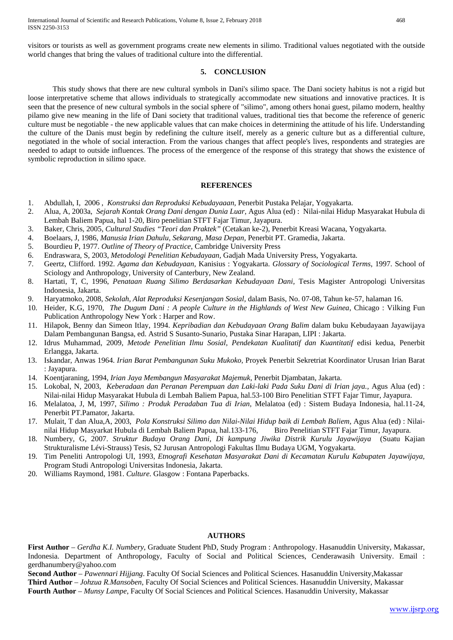visitors or tourists as well as government programs create new elements in silimo. Traditional values negotiated with the outside world changes that bring the values of traditional culture into the differential.

# **5. CONCLUSION**

 This study shows that there are new cultural symbols in Dani's silimo space. The Dani society habitus is not a rigid but loose interpretative scheme that allows individuals to strategically accommodate new situations and innovative practices. It is seen that the presence of new cultural symbols in the social sphere of "silimo", among others honai guest, pilamo modern, healthy pilamo give new meaning in the life of Dani society that traditional values, traditional ties that become the reference of generic culture must be negotiable - the new applicable values that can make choices in determining the attitude of his life. Understanding the culture of the Danis must begin by redefining the culture itself, merely as a generic culture but as a differential culture, negotiated in the whole of social interaction. From the various changes that affect people's lives, respondents and strategies are needed to adapt to outside influences. The process of the emergence of the response of this strategy that shows the existence of symbolic reproduction in silimo space.

## **REFERENCES**

- 1. Abdullah, I, 2006 , *Konstruksi dan Reproduksi Kebudayaaan,* Penerbit Pustaka Pelajar, Yogyakarta.
- 2. Alua, A, 2003a, *Sejarah Kontak Orang Dani dengan Dunia Luar,* Agus Alua (ed) : Nilai-nilai Hidup Masyarakat Hubula di Lembah Baliem Papua, hal 1-20, Biro penelitian STFT Fajar Timur, Jayapura.
- 3. Baker, Chris, 2005, *Cultural Studies "Teori dan Praktek"* (Cetakan ke-2), Penerbit Kreasi Wacana, Yogyakarta.
- 4. Boelaars, J, 1986, *Manusia Irian Dahulu, Sekarang, Masa Depan,* Penerbit PT. Gramedia, Jakarta.
- 5. Bourdieu P, 1977. *Outline of Theory of Practice*, Cambridge University Press
- 6. Endraswara, S, 2003, *Metodologi Penelitian Kebudayaan,* Gadjah Mada University Press, Yogyakarta.
- 7. Geertz, Clifford. 1992. *Agama dan Kebudayaan,* Kanisius : Yogyakarta. *Glossary of Sociological Terms*, 1997. School of Sciology and Anthropology, University of Canterbury, New Zealand.
- 8. Hartati, T, C, 1996, *Penataan Ruang Silimo Berdasarkan Kebudayaan Dani,* Tesis Magister Antropologi Universitas Indonesia, Jakarta.
- 9. Haryatmoko, 2008, *Sekolah, Alat Reproduksi Kesenjangan Sosial,* dalam Basis, No. 07-08, Tahun ke-57, halaman 16.
- 10. Heider, K.G, 1970, *The Dugum Dani : A people Culture in the Highlands of West New Guinea*, Chicago : Vilking Fun Publication Anthropology New York : Harper and Row.
- 11. Hilapok, Benny dan Simeon Itlay, 1994. *Kepribadian dan Kebudayaan Orang Balim* dalam buku Kebudayaan Jayawijaya Dalam Pembangunan Bangsa, ed. Astrid S Susanto-Sunario, Pustaka Sinar Harapan, LIPI : Jakarta.
- 12. Idrus Muhammad, 2009, Metode Penelitian Ilmu Sosial, Pendekatan Kualitatif dan Kuantitatif edisi kedua, Penerbit Erlangga, Jakarta.
- 13. Iskandar, Anwas 1964. *Irian Barat Pembangunan Suku Mukoko,* Proyek Penerbit Sekretriat Koordinator Urusan Irian Barat : Jayapura.
- 14. Koentjaraning, 1994, *Irian Jaya Membangun Masyarakat Majemuk*, Penerbit Djambatan, Jakarta.
- 15. Lokobal, N, 2003, *Keberadaan dan Peranan Perempuan dan Laki-laki Pada Suku Dani di Irian jaya.,* Agus Alua (ed) : Nilai-nilai Hidup Masyarakat Hubula di Lembah Baliem Papua, hal.53-100 Biro Penelitian STFT Fajar Timur, Jayapura.
- 16. Melalatoa, J, M, 1997, *Silimo : Produk Peradaban Tua di Irian,* Melalatoa (ed) : Sistem Budaya Indonesia, hal.11-24, Penerbit PT.Pamator, Jakarta.
- 17. Mulait, T dan Alua,A, 2003, *Pola Konstruksi Silimo dan Nilai-Nilai Hidup baik di Lembah Baliem,* Agus Alua (ed) : Nilainilai Hidup Masyarkat Hubula di Lembah Baliem Papua, hal.133-176, Biro Penelitian STFT Fajar Timur, Jayapura.
- 18. Numbery, G, 2007. *Struktur Budaya Orang Dani, Di kampung Jiwika Distrik Kurulu Jayawijaya* (Suatu Kajian Strukturalisme Lévi-Strauss) Tesis, S2 Jurusan Antropologi Fakultas Ilmu Budaya UGM, Yogyakarta.
- 19. Tim Peneliti Antropologi UI, 1993, *Etnografi Kesehatan Masyarakat Dani di Kecamatan Kurulu Kabupaten Jayawijaya,*  Program Studi Antropologi Universitas Indonesia, Jakarta.
- 20. Williams Raymond, 1981. *Culture.* Glasgow : Fontana Paperbacks.

## **AUTHORS**

**First Author** – *Gerdha K.I. Numbery*, Graduate Student PhD, Study Program : Anthropology. Hasanuddin University, Makassar, Indonesia. Department of Anthropology, Faculty of Social and Political Sciences, Cenderawasih University. Email : gerdhanumbery@yahoo.com

**Second Author** – *Pawennari Hijjang*. Faculty Of Social Sciences and Political Sciences. Hasanuddin University,Makassar **Third Author** – *Johzua R.Mansoben*, Faculty Of Social Sciences and Political Sciences. Hasanuddin University, Makassar **Fourth Author** – *Munsy Lampe*, Faculty Of Social Sciences and Political Sciences. Hasanuddin University, Makassar